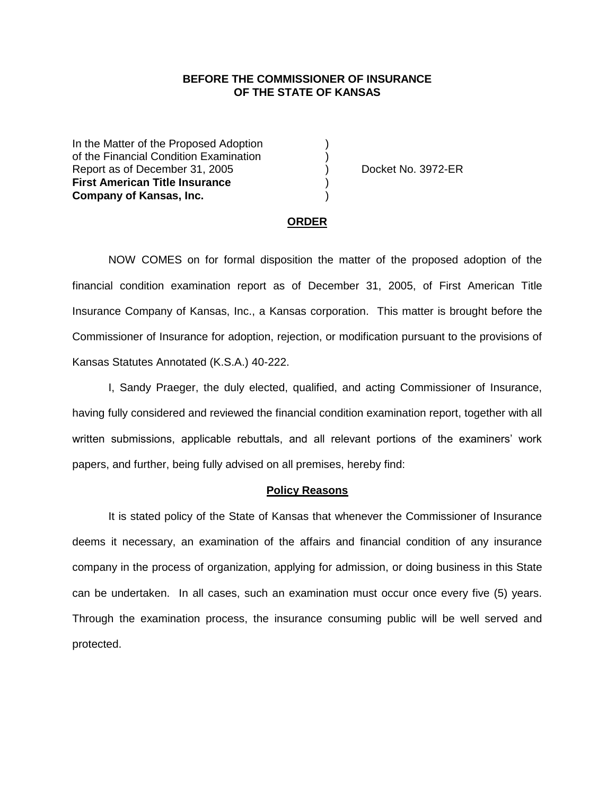### **BEFORE THE COMMISSIONER OF INSURANCE OF THE STATE OF KANSAS**

In the Matter of the Proposed Adoption of the Financial Condition Examination ) Report as of December 31, 2005 (and Separation Control Booket No. 3972-ER **First American Title Insurance** ) **Company of Kansas, Inc.** )

#### **ORDER**

NOW COMES on for formal disposition the matter of the proposed adoption of the financial condition examination report as of December 31, 2005, of First American Title Insurance Company of Kansas, Inc., a Kansas corporation. This matter is brought before the Commissioner of Insurance for adoption, rejection, or modification pursuant to the provisions of Kansas Statutes Annotated (K.S.A.) 40-222.

I, Sandy Praeger, the duly elected, qualified, and acting Commissioner of Insurance, having fully considered and reviewed the financial condition examination report, together with all written submissions, applicable rebuttals, and all relevant portions of the examiners' work papers, and further, being fully advised on all premises, hereby find:

#### **Policy Reasons**

It is stated policy of the State of Kansas that whenever the Commissioner of Insurance deems it necessary, an examination of the affairs and financial condition of any insurance company in the process of organization, applying for admission, or doing business in this State can be undertaken. In all cases, such an examination must occur once every five (5) years. Through the examination process, the insurance consuming public will be well served and protected.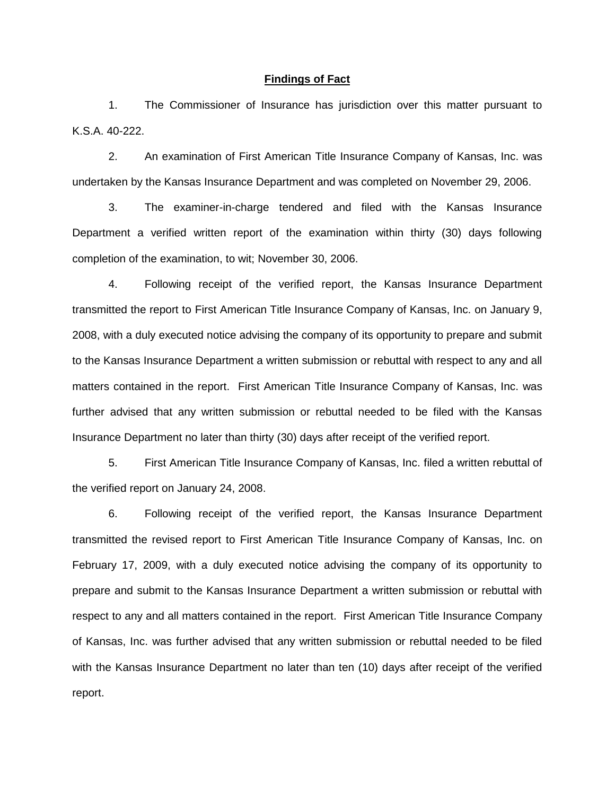#### **Findings of Fact**

1. The Commissioner of Insurance has jurisdiction over this matter pursuant to K.S.A. 40-222.

2. An examination of First American Title Insurance Company of Kansas, Inc. was undertaken by the Kansas Insurance Department and was completed on November 29, 2006.

3. The examiner-in-charge tendered and filed with the Kansas Insurance Department a verified written report of the examination within thirty (30) days following completion of the examination, to wit; November 30, 2006.

4. Following receipt of the verified report, the Kansas Insurance Department transmitted the report to First American Title Insurance Company of Kansas, Inc. on January 9, 2008, with a duly executed notice advising the company of its opportunity to prepare and submit to the Kansas Insurance Department a written submission or rebuttal with respect to any and all matters contained in the report. First American Title Insurance Company of Kansas, Inc. was further advised that any written submission or rebuttal needed to be filed with the Kansas Insurance Department no later than thirty (30) days after receipt of the verified report.

5. First American Title Insurance Company of Kansas, Inc. filed a written rebuttal of the verified report on January 24, 2008.

6. Following receipt of the verified report, the Kansas Insurance Department transmitted the revised report to First American Title Insurance Company of Kansas, Inc. on February 17, 2009, with a duly executed notice advising the company of its opportunity to prepare and submit to the Kansas Insurance Department a written submission or rebuttal with respect to any and all matters contained in the report. First American Title Insurance Company of Kansas, Inc. was further advised that any written submission or rebuttal needed to be filed with the Kansas Insurance Department no later than ten (10) days after receipt of the verified report.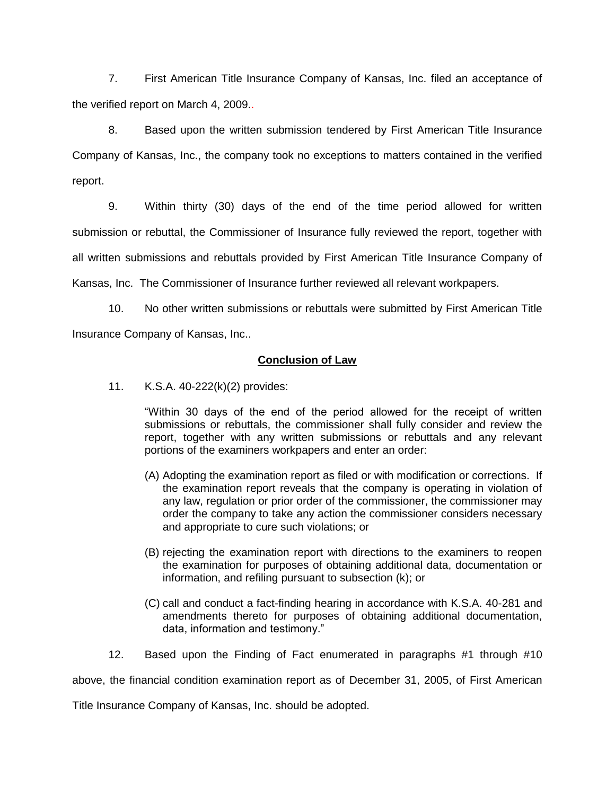7. First American Title Insurance Company of Kansas, Inc. filed an acceptance of the verified report on March 4, 2009..

8. Based upon the written submission tendered by First American Title Insurance Company of Kansas, Inc., the company took no exceptions to matters contained in the verified report.

9. Within thirty (30) days of the end of the time period allowed for written submission or rebuttal, the Commissioner of Insurance fully reviewed the report, together with all written submissions and rebuttals provided by First American Title Insurance Company of Kansas, Inc. The Commissioner of Insurance further reviewed all relevant workpapers.

10. No other written submissions or rebuttals were submitted by First American Title Insurance Company of Kansas, Inc..

## **Conclusion of Law**

11. K.S.A. 40-222(k)(2) provides:

"Within 30 days of the end of the period allowed for the receipt of written submissions or rebuttals, the commissioner shall fully consider and review the report, together with any written submissions or rebuttals and any relevant portions of the examiners workpapers and enter an order:

- (A) Adopting the examination report as filed or with modification or corrections. If the examination report reveals that the company is operating in violation of any law, regulation or prior order of the commissioner, the commissioner may order the company to take any action the commissioner considers necessary and appropriate to cure such violations; or
- (B) rejecting the examination report with directions to the examiners to reopen the examination for purposes of obtaining additional data, documentation or information, and refiling pursuant to subsection (k); or
- (C) call and conduct a fact-finding hearing in accordance with K.S.A. 40-281 and amendments thereto for purposes of obtaining additional documentation, data, information and testimony."
- 12. Based upon the Finding of Fact enumerated in paragraphs #1 through #10

above, the financial condition examination report as of December 31, 2005, of First American

Title Insurance Company of Kansas, Inc. should be adopted.